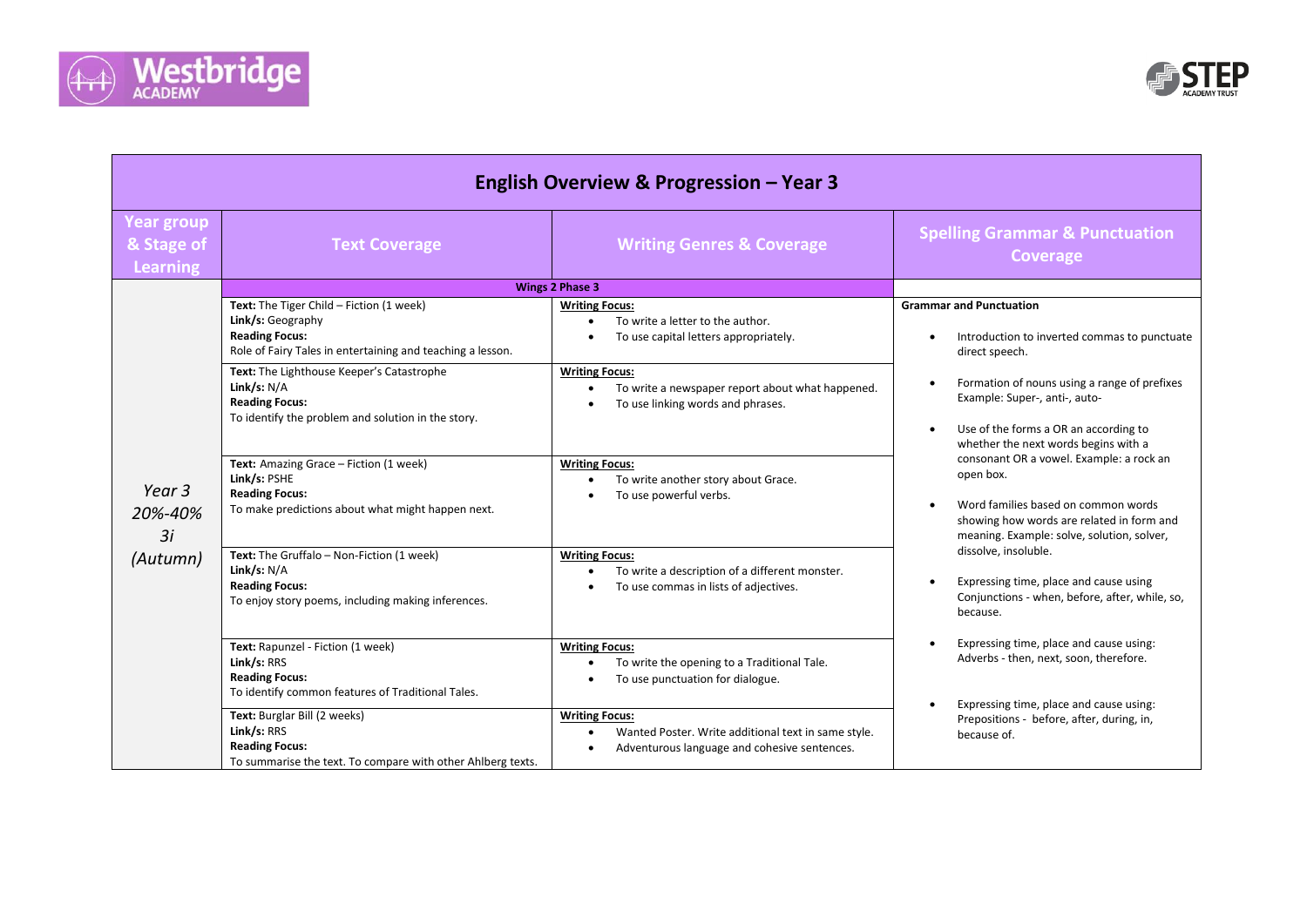



| <b>English Overview &amp; Progression - Year 3</b> |                                                                                                                                                      |                                                                                                                              |                                                                                                                                                                                                                                                                                                                                      |
|----------------------------------------------------|------------------------------------------------------------------------------------------------------------------------------------------------------|------------------------------------------------------------------------------------------------------------------------------|--------------------------------------------------------------------------------------------------------------------------------------------------------------------------------------------------------------------------------------------------------------------------------------------------------------------------------------|
| <b>Year group</b><br>& Stage of<br><b>Learning</b> | <b>Text Coverage</b>                                                                                                                                 | <b>Writing Genres &amp; Coverage</b>                                                                                         | <b>Spelling Grammar &amp; Punctuation</b><br><b>Coverage</b>                                                                                                                                                                                                                                                                         |
|                                                    |                                                                                                                                                      | <b>Wings 2 Phase 3</b>                                                                                                       |                                                                                                                                                                                                                                                                                                                                      |
| Year 3<br>20%-40%<br>3i<br>(Autumn)                | Text: The Tiger Child - Fiction (1 week)<br>Link/s: Geography<br><b>Reading Focus:</b><br>Role of Fairy Tales in entertaining and teaching a lesson. | <b>Writing Focus:</b><br>To write a letter to the author.<br>To use capital letters appropriately.                           | <b>Grammar and Punctuation</b><br>Introduction to inverted commas to punctuate<br>$\bullet$<br>direct speech.                                                                                                                                                                                                                        |
|                                                    | Text: The Lighthouse Keeper's Catastrophe<br>Link/s: $N/A$<br><b>Reading Focus:</b><br>To identify the problem and solution in the story.            | <b>Writing Focus:</b><br>To write a newspaper report about what happened.<br>To use linking words and phrases.               | Formation of nouns using a range of prefixes<br>$\bullet$<br>Example: Super-, anti-, auto-<br>Use of the forms a OR an according to<br>$\bullet$<br>whether the next words begins with a                                                                                                                                             |
|                                                    | Text: Amazing Grace - Fiction (1 week)<br>Link/s: PSHE<br><b>Reading Focus:</b><br>To make predictions about what might happen next.                 | <b>Writing Focus:</b><br>To write another story about Grace.<br>To use powerful verbs.                                       | consonant OR a vowel. Example: a rock an<br>open box.<br>Word families based on common words<br>$\bullet$<br>showing how words are related in form and<br>meaning. Example: solve, solution, solver,<br>dissolve, insoluble.<br>Expressing time, place and cause using<br>Conjunctions - when, before, after, while, so,<br>because. |
|                                                    | Text: The Gruffalo - Non-Fiction (1 week)<br>Link/s: $N/A$<br><b>Reading Focus:</b><br>To enjoy story poems, including making inferences.            | <b>Writing Focus:</b><br>To write a description of a different monster.<br>To use commas in lists of adjectives.             |                                                                                                                                                                                                                                                                                                                                      |
|                                                    | Text: Rapunzel - Fiction (1 week)<br>Link/s: RRS<br><b>Reading Focus:</b><br>To identify common features of Traditional Tales.                       | <b>Writing Focus:</b><br>To write the opening to a Traditional Tale.<br>To use punctuation for dialogue.                     | Expressing time, place and cause using:<br>Adverbs - then, next, soon, therefore.                                                                                                                                                                                                                                                    |
|                                                    | Text: Burglar Bill (2 weeks)<br>Link/s: RRS<br><b>Reading Focus:</b><br>To summarise the text. To compare with other Ahlberg texts.                  | <b>Writing Focus:</b><br>Wanted Poster. Write additional text in same style.<br>Adventurous language and cohesive sentences. | Expressing time, place and cause using:<br>$\bullet$<br>Prepositions - before, after, during, in,<br>because of.                                                                                                                                                                                                                     |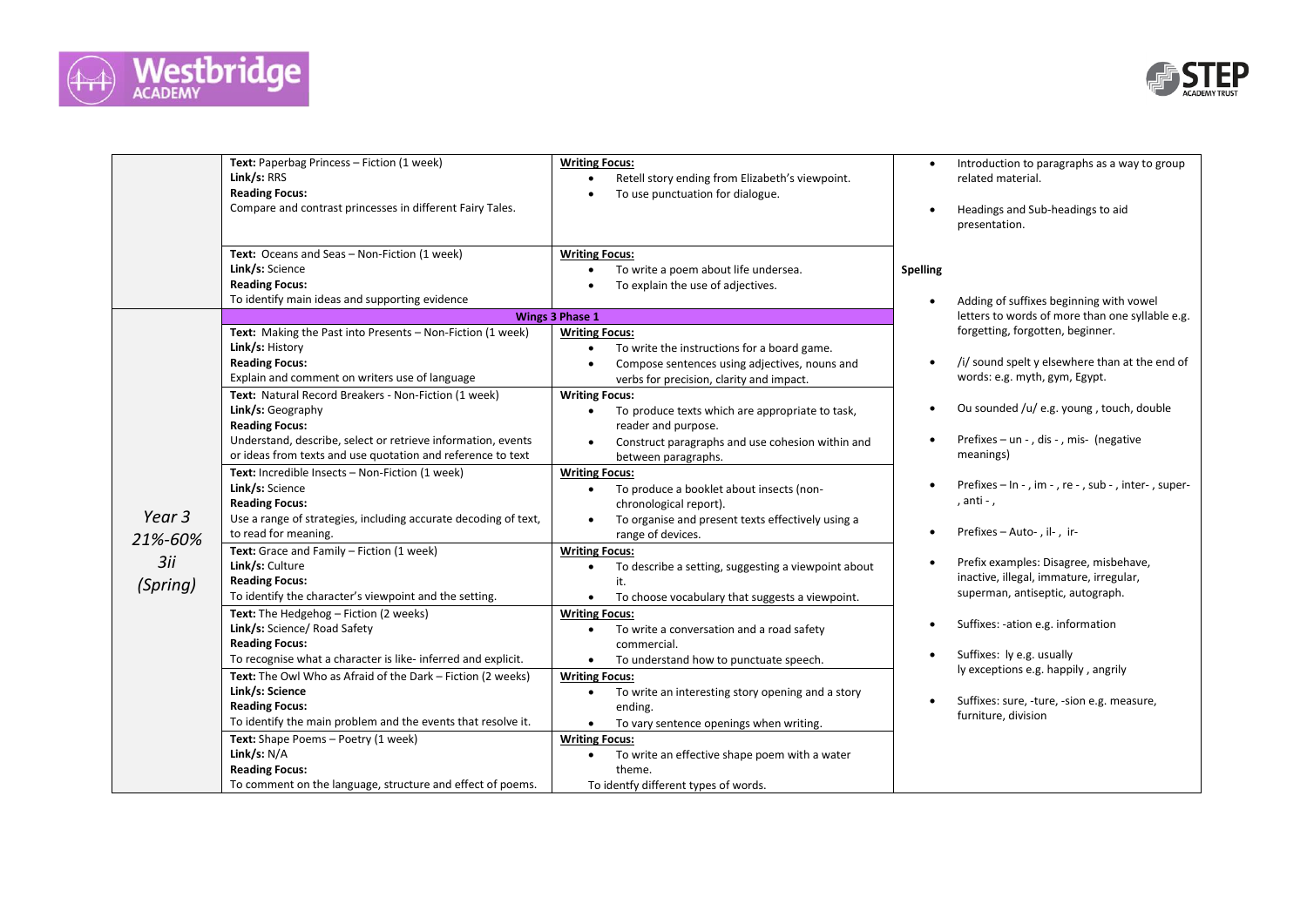



|                                      | Text: Paperbag Princess - Fiction (1 week)<br>Link/s: RRS<br><b>Reading Focus:</b><br>Compare and contrast princesses in different Fairy Tales.                                                                                                                                                                                                                                                                                                                                                                                                                                                                                                                                                                                                                                                                                                                                                                                                                                                                                                                                                                                                                                                                                          | <b>Writing Focus:</b><br>Retell story ending from Elizabeth's viewpoint.<br>To use punctuation for dialogue.                                                                                                                                                                                                                                                                                                                                                                                                                                                                                                                                                                                                                                                                                                                                                                                                                                                                                                                                                                                                                                                       | $\bullet$<br>$\bullet$                                                                                    | Introduction to paragraphs as a way to group<br>related material.<br>Headings and Sub-headings to aid<br>presentation.                                                                                                                                                                                                                                                                                                                                                                                                                                                                                                                                                                  |
|--------------------------------------|------------------------------------------------------------------------------------------------------------------------------------------------------------------------------------------------------------------------------------------------------------------------------------------------------------------------------------------------------------------------------------------------------------------------------------------------------------------------------------------------------------------------------------------------------------------------------------------------------------------------------------------------------------------------------------------------------------------------------------------------------------------------------------------------------------------------------------------------------------------------------------------------------------------------------------------------------------------------------------------------------------------------------------------------------------------------------------------------------------------------------------------------------------------------------------------------------------------------------------------|--------------------------------------------------------------------------------------------------------------------------------------------------------------------------------------------------------------------------------------------------------------------------------------------------------------------------------------------------------------------------------------------------------------------------------------------------------------------------------------------------------------------------------------------------------------------------------------------------------------------------------------------------------------------------------------------------------------------------------------------------------------------------------------------------------------------------------------------------------------------------------------------------------------------------------------------------------------------------------------------------------------------------------------------------------------------------------------------------------------------------------------------------------------------|-----------------------------------------------------------------------------------------------------------|-----------------------------------------------------------------------------------------------------------------------------------------------------------------------------------------------------------------------------------------------------------------------------------------------------------------------------------------------------------------------------------------------------------------------------------------------------------------------------------------------------------------------------------------------------------------------------------------------------------------------------------------------------------------------------------------|
|                                      | Text: Oceans and Seas - Non-Fiction (1 week)<br>Link/s: Science<br><b>Reading Focus:</b><br>To identify main ideas and supporting evidence                                                                                                                                                                                                                                                                                                                                                                                                                                                                                                                                                                                                                                                                                                                                                                                                                                                                                                                                                                                                                                                                                               | <b>Writing Focus:</b><br>To write a poem about life undersea.<br>To explain the use of adjectives.                                                                                                                                                                                                                                                                                                                                                                                                                                                                                                                                                                                                                                                                                                                                                                                                                                                                                                                                                                                                                                                                 | <b>Spelling</b><br>$\bullet$                                                                              | Adding of suffixes beginning with vowel                                                                                                                                                                                                                                                                                                                                                                                                                                                                                                                                                                                                                                                 |
| Year 3<br>21%-60%<br>3ii<br>(Spring) | Text: Making the Past into Presents - Non-Fiction (1 week)<br>Link/s: History<br><b>Reading Focus:</b><br>Explain and comment on writers use of language<br>Text: Natural Record Breakers - Non-Fiction (1 week)<br>Link/s: Geography<br><b>Reading Focus:</b><br>Understand, describe, select or retrieve information, events<br>or ideas from texts and use quotation and reference to text<br>Text: Incredible Insects - Non-Fiction (1 week)<br>Link/s: Science<br><b>Reading Focus:</b><br>Use a range of strategies, including accurate decoding of text,<br>to read for meaning.<br>Text: Grace and Family - Fiction (1 week)<br>Link/s: Culture<br><b>Reading Focus:</b><br>To identify the character's viewpoint and the setting.<br>Text: The Hedgehog - Fiction (2 weeks)<br>Link/s: Science/ Road Safety<br><b>Reading Focus:</b><br>To recognise what a character is like- inferred and explicit.<br>Text: The Owl Who as Afraid of the Dark - Fiction (2 weeks)<br>Link/s: Science<br><b>Reading Focus:</b><br>To identify the main problem and the events that resolve it.<br>Text: Shape Poems - Poetry (1 week)<br>Link/s: $N/A$<br><b>Reading Focus:</b><br>To comment on the language, structure and effect of poems. | Wings 3 Phase 1<br><b>Writing Focus:</b><br>To write the instructions for a board game.<br>Compose sentences using adjectives, nouns and<br>verbs for precision, clarity and impact.<br><b>Writing Focus:</b><br>To produce texts which are appropriate to task,<br>reader and purpose.<br>Construct paragraphs and use cohesion within and<br>between paragraphs.<br><b>Writing Focus:</b><br>To produce a booklet about insects (non-<br>chronological report).<br>To organise and present texts effectively using a<br>$\bullet$<br>range of devices.<br><b>Writing Focus:</b><br>To describe a setting, suggesting a viewpoint about<br>it.<br>To choose vocabulary that suggests a viewpoint.<br>$\bullet$<br><b>Writing Focus:</b><br>To write a conversation and a road safety<br>$\bullet$<br>commercial.<br>To understand how to punctuate speech.<br>$\bullet$<br><b>Writing Focus:</b><br>To write an interesting story opening and a story<br>$\bullet$<br>ending.<br>To vary sentence openings when writing.<br>$\bullet$<br><b>Writing Focus:</b><br>To write an effective shape poem with a water<br>theme.<br>To identfy different types of words. | $\bullet$<br>$\bullet$<br>٠<br>$\bullet$<br>$\bullet$<br>$\bullet$<br>$\bullet$<br>$\bullet$<br>$\bullet$ | letters to words of more than one syllable e.g.<br>forgetting, forgotten, beginner.<br>/i/ sound spelt y elsewhere than at the end of<br>words: e.g. myth, gym, Egypt.<br>Ou sounded /u/ e.g. young, touch, double<br>Prefixes - un - , dis - , mis- (negative<br>meanings)<br>Prefixes - In - , im - , re - , sub - , inter-, super-<br>, anti - ,<br>Prefixes - Auto-, il-, ir-<br>Prefix examples: Disagree, misbehave,<br>inactive, illegal, immature, irregular,<br>superman, antiseptic, autograph.<br>Suffixes: -ation e.g. information<br>Suffixes: ly e.g. usually<br>ly exceptions e.g. happily, angrily<br>Suffixes: sure, -ture, -sion e.g. measure,<br>furniture, division |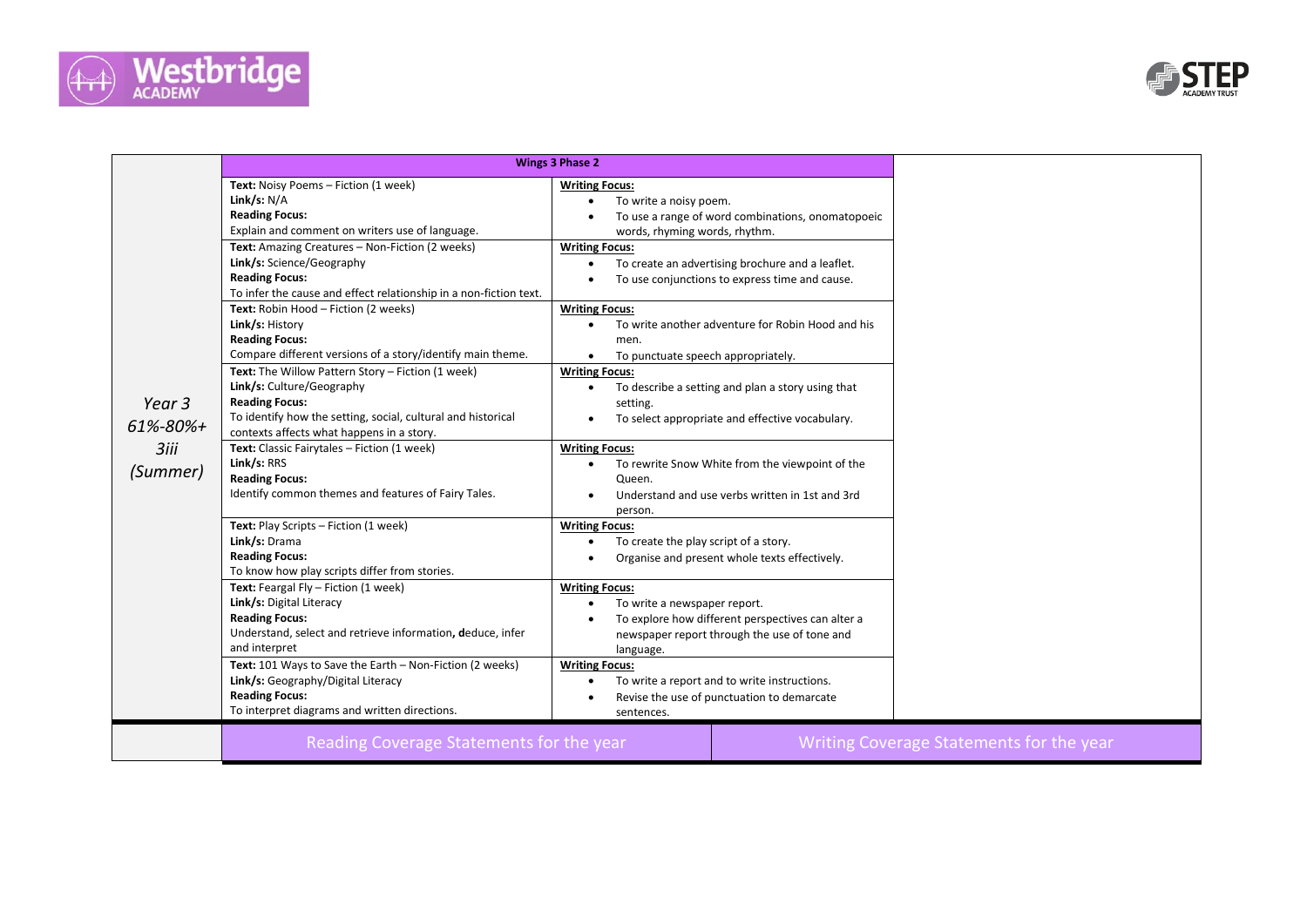



|                 |                                                                   | <b>Wings 3 Phase 2</b>                                         |
|-----------------|-------------------------------------------------------------------|----------------------------------------------------------------|
|                 |                                                                   |                                                                |
|                 | Text: Noisy Poems - Fiction (1 week)                              | <b>Writing Focus:</b>                                          |
|                 | Link/s: $N/A$                                                     | To write a noisy poem.                                         |
|                 | <b>Reading Focus:</b>                                             | To use a range of word combinations, onomatopoeic              |
|                 | Explain and comment on writers use of language.                   | words, rhyming words, rhythm.                                  |
|                 | Text: Amazing Creatures - Non-Fiction (2 weeks)                   | <b>Writing Focus:</b>                                          |
|                 | Link/s: Science/Geography                                         | To create an advertising brochure and a leaflet.               |
|                 | <b>Reading Focus:</b>                                             | To use conjunctions to express time and cause.                 |
|                 | To infer the cause and effect relationship in a non-fiction text. |                                                                |
|                 | Text: Robin Hood - Fiction (2 weeks)                              | <b>Writing Focus:</b>                                          |
|                 | Link/s: History                                                   | To write another adventure for Robin Hood and his<br>$\bullet$ |
|                 | <b>Reading Focus:</b>                                             | men.                                                           |
|                 | Compare different versions of a story/identify main theme.        | To punctuate speech appropriately.<br>$\bullet$                |
|                 | Text: The Willow Pattern Story - Fiction (1 week)                 | <b>Writing Focus:</b>                                          |
|                 | Link/s: Culture/Geography                                         | To describe a setting and plan a story using that<br>$\bullet$ |
| Year 3          | <b>Reading Focus:</b>                                             | setting.                                                       |
|                 | To identify how the setting, social, cultural and historical      | To select appropriate and effective vocabulary.                |
| $61\% - 80\% +$ | contexts affects what happens in a story.                         |                                                                |
| 3iii            | Text: Classic Fairytales - Fiction (1 week)                       | <b>Writing Focus:</b>                                          |
| (Summer)        | Link/s: RRS                                                       | To rewrite Snow White from the viewpoint of the                |
|                 | <b>Reading Focus:</b>                                             | Queen.                                                         |
|                 | Identify common themes and features of Fairy Tales.               | Understand and use verbs written in 1st and 3rd                |
|                 |                                                                   | person.                                                        |
|                 | Text: Play Scripts - Fiction (1 week)                             | <b>Writing Focus:</b>                                          |
|                 | Link/s: Drama                                                     | To create the play script of a story.                          |
|                 | <b>Reading Focus:</b>                                             | Organise and present whole texts effectively.                  |
|                 | To know how play scripts differ from stories.                     |                                                                |
|                 | Text: Feargal Fly - Fiction (1 week)                              | <b>Writing Focus:</b>                                          |
|                 | Link/s: Digital Literacy                                          | To write a newspaper report.                                   |
|                 | <b>Reading Focus:</b>                                             | To explore how different perspectives can alter a              |
|                 | Understand, select and retrieve information, deduce, infer        | newspaper report through the use of tone and                   |
|                 | and interpret                                                     | language.                                                      |
|                 | Text: 101 Ways to Save the Earth - Non-Fiction (2 weeks)          | <b>Writing Focus:</b>                                          |
|                 | Link/s: Geography/Digital Literacy                                | To write a report and to write instructions.                   |
|                 | <b>Reading Focus:</b>                                             | Revise the use of punctuation to demarcate                     |
|                 | To interpret diagrams and written directions.                     | sentences.                                                     |
|                 | Reading Coverage Statements for the year                          | Writing Coverage Statements for the year                       |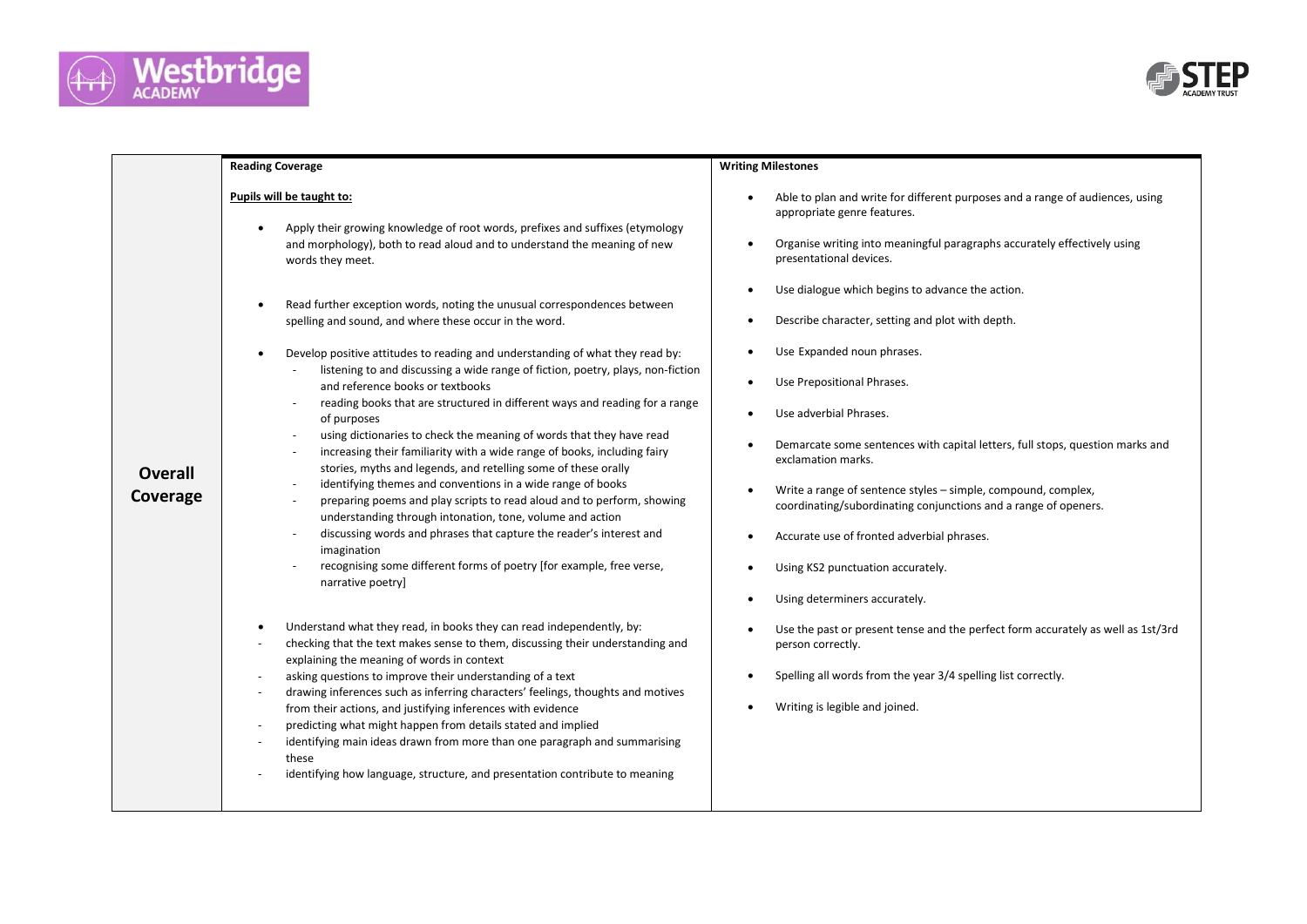



|                            | <b>Reading Coverage</b>                                                                                                                                                                                                                                                                                                                                                                                                                                                                                                                                                                                                                                                                                                                                                                                                                                                                                                                                                                                                                                                                                                                                                                                                                                                                                      | <b>Writing Milestones</b>                                                                                                                                                                                                                                                                                                                                                                                                                                                                                                                                                                                                                                                                                                                                                                                                                    |  |  |
|----------------------------|--------------------------------------------------------------------------------------------------------------------------------------------------------------------------------------------------------------------------------------------------------------------------------------------------------------------------------------------------------------------------------------------------------------------------------------------------------------------------------------------------------------------------------------------------------------------------------------------------------------------------------------------------------------------------------------------------------------------------------------------------------------------------------------------------------------------------------------------------------------------------------------------------------------------------------------------------------------------------------------------------------------------------------------------------------------------------------------------------------------------------------------------------------------------------------------------------------------------------------------------------------------------------------------------------------------|----------------------------------------------------------------------------------------------------------------------------------------------------------------------------------------------------------------------------------------------------------------------------------------------------------------------------------------------------------------------------------------------------------------------------------------------------------------------------------------------------------------------------------------------------------------------------------------------------------------------------------------------------------------------------------------------------------------------------------------------------------------------------------------------------------------------------------------------|--|--|
| <b>Overall</b><br>Coverage | Pupils will be taught to:<br>Apply their growing knowledge of root words, prefixes and suffixes (etymology<br>$\bullet$<br>and morphology), both to read aloud and to understand the meaning of new<br>words they meet.<br>Read further exception words, noting the unusual correspondences between<br>$\bullet$<br>spelling and sound, and where these occur in the word.<br>Develop positive attitudes to reading and understanding of what they read by:<br>$\bullet$<br>listening to and discussing a wide range of fiction, poetry, plays, non-fiction<br>and reference books or textbooks<br>reading books that are structured in different ways and reading for a range<br>of purposes<br>using dictionaries to check the meaning of words that they have read<br>increasing their familiarity with a wide range of books, including fairy<br>stories, myths and legends, and retelling some of these orally<br>identifying themes and conventions in a wide range of books<br>preparing poems and play scripts to read aloud and to perform, showing<br>understanding through intonation, tone, volume and action<br>discussing words and phrases that capture the reader's interest and<br>imagination<br>recognising some different forms of poetry [for example, free verse,<br>narrative poetry] | Able to plan and write for different purposes and a range of audiences, using<br>$\bullet$<br>appropriate genre features.<br>Organise writing into meaningful paragraphs accurately effectively using<br>$\bullet$<br>presentational devices.<br>Use dialogue which begins to advance the action.<br>$\bullet$<br>Describe character, setting and plot with depth.<br>$\bullet$<br>Use Expanded noun phrases.<br>$\bullet$<br>Use Prepositional Phrases.<br>$\bullet$<br>Use adverbial Phrases.<br>$\bullet$<br>Demarcate some sentences with capital letters, full stops, question marks and<br>$\bullet$<br>exclamation marks.<br>Write a range of sentence styles - simple, compound, complex,<br>$\bullet$<br>coordinating/subordinating conjunctions and a range of openers.<br>Accurate use of fronted adverbial phrases.<br>$\bullet$ |  |  |
|                            |                                                                                                                                                                                                                                                                                                                                                                                                                                                                                                                                                                                                                                                                                                                                                                                                                                                                                                                                                                                                                                                                                                                                                                                                                                                                                                              | Using KS2 punctuation accurately.<br>$\bullet$                                                                                                                                                                                                                                                                                                                                                                                                                                                                                                                                                                                                                                                                                                                                                                                               |  |  |
|                            |                                                                                                                                                                                                                                                                                                                                                                                                                                                                                                                                                                                                                                                                                                                                                                                                                                                                                                                                                                                                                                                                                                                                                                                                                                                                                                              | Using determiners accurately.<br>$\bullet$                                                                                                                                                                                                                                                                                                                                                                                                                                                                                                                                                                                                                                                                                                                                                                                                   |  |  |
|                            | Understand what they read, in books they can read independently, by:<br>$\bullet$<br>checking that the text makes sense to them, discussing their understanding and<br>explaining the meaning of words in context                                                                                                                                                                                                                                                                                                                                                                                                                                                                                                                                                                                                                                                                                                                                                                                                                                                                                                                                                                                                                                                                                            | Use the past or present tense and the perfect form accurately as well as 1st/3rd<br>person correctly.                                                                                                                                                                                                                                                                                                                                                                                                                                                                                                                                                                                                                                                                                                                                        |  |  |
|                            | asking questions to improve their understanding of a text<br>$\overline{\phantom{a}}$<br>drawing inferences such as inferring characters' feelings, thoughts and motives<br>$\overline{\phantom{a}}$                                                                                                                                                                                                                                                                                                                                                                                                                                                                                                                                                                                                                                                                                                                                                                                                                                                                                                                                                                                                                                                                                                         | Spelling all words from the year 3/4 spelling list correctly.<br>$\bullet$                                                                                                                                                                                                                                                                                                                                                                                                                                                                                                                                                                                                                                                                                                                                                                   |  |  |
|                            | from their actions, and justifying inferences with evidence<br>predicting what might happen from details stated and implied                                                                                                                                                                                                                                                                                                                                                                                                                                                                                                                                                                                                                                                                                                                                                                                                                                                                                                                                                                                                                                                                                                                                                                                  | Writing is legible and joined.<br>$\bullet$                                                                                                                                                                                                                                                                                                                                                                                                                                                                                                                                                                                                                                                                                                                                                                                                  |  |  |
|                            | identifying main ideas drawn from more than one paragraph and summarising<br>these<br>identifying how language, structure, and presentation contribute to meaning                                                                                                                                                                                                                                                                                                                                                                                                                                                                                                                                                                                                                                                                                                                                                                                                                                                                                                                                                                                                                                                                                                                                            |                                                                                                                                                                                                                                                                                                                                                                                                                                                                                                                                                                                                                                                                                                                                                                                                                                              |  |  |
|                            |                                                                                                                                                                                                                                                                                                                                                                                                                                                                                                                                                                                                                                                                                                                                                                                                                                                                                                                                                                                                                                                                                                                                                                                                                                                                                                              |                                                                                                                                                                                                                                                                                                                                                                                                                                                                                                                                                                                                                                                                                                                                                                                                                                              |  |  |